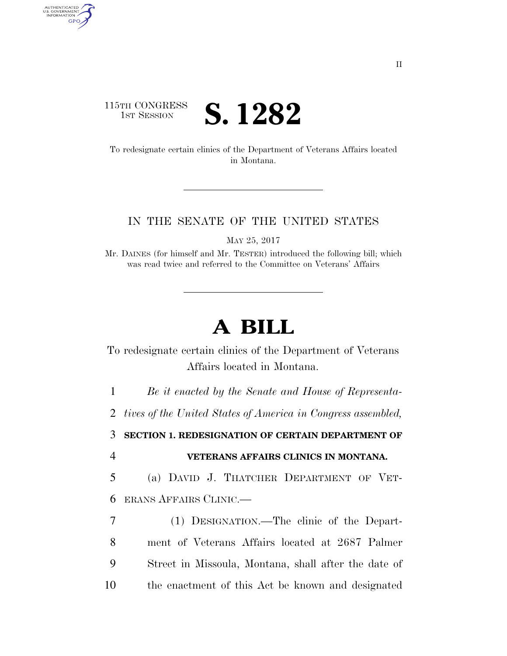## 115TH CONGRESS **IST SESSION S. 1282**

To redesignate certain clinics of the Department of Veterans Affairs located in Montana.

## IN THE SENATE OF THE UNITED STATES

MAY 25, 2017

Mr. DAINES (for himself and Mr. TESTER) introduced the following bill; which was read twice and referred to the Committee on Veterans' Affairs

## **A BILL**

To redesignate certain clinics of the Department of Veterans Affairs located in Montana.

1 *Be it enacted by the Senate and House of Representa-*

2 *tives of the United States of America in Congress assembled,* 

3 **SECTION 1. REDESIGNATION OF CERTAIN DEPARTMENT OF** 

AUTHENTICATED<br>U.S. GOVERNMENT<br>INFORMATION GPO

## 4 **VETERANS AFFAIRS CLINICS IN MONTANA.**

5 (a) DAVID J. THATCHER DEPARTMENT OF VET-6 ERANS AFFAIRS CLINIC.—

 (1) DESIGNATION.—The clinic of the Depart- ment of Veterans Affairs located at 2687 Palmer Street in Missoula, Montana, shall after the date of the enactment of this Act be known and designated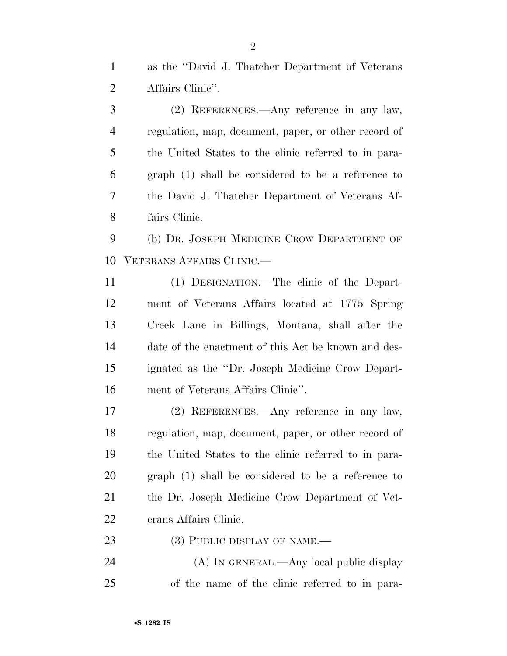as the ''David J. Thatcher Department of Veterans Affairs Clinic''.

 (2) REFERENCES.—Any reference in any law, regulation, map, document, paper, or other record of the United States to the clinic referred to in para- graph (1) shall be considered to be a reference to the David J. Thatcher Department of Veterans Af-fairs Clinic.

 (b) DR. JOSEPH MEDICINE CROW DEPARTMENT OF VETERANS AFFAIRS CLINIC.—

 (1) DESIGNATION.—The clinic of the Depart- ment of Veterans Affairs located at 1775 Spring Creek Lane in Billings, Montana, shall after the date of the enactment of this Act be known and des- ignated as the ''Dr. Joseph Medicine Crow Depart-ment of Veterans Affairs Clinic''.

 (2) REFERENCES.—Any reference in any law, regulation, map, document, paper, or other record of the United States to the clinic referred to in para- graph (1) shall be considered to be a reference to the Dr. Joseph Medicine Crow Department of Vet-erans Affairs Clinic.

23 (3) PUBLIC DISPLAY OF NAME.—

24 (A) IN GENERAL.—Any local public display of the name of the clinic referred to in para-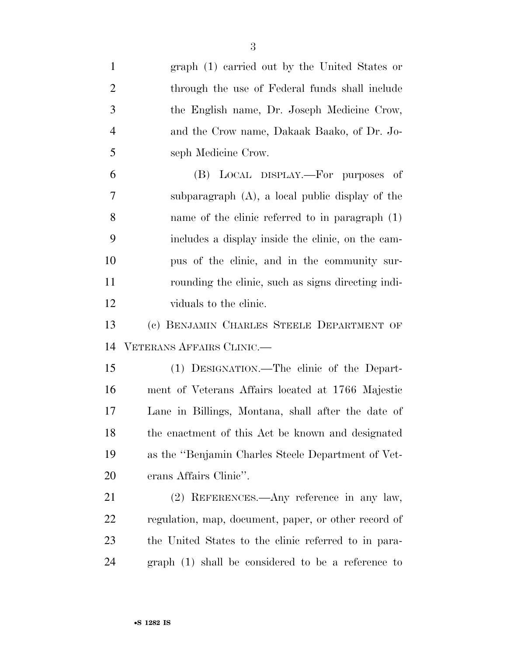| $\mathbf{1}$   | graph (1) carried out by the United States or        |
|----------------|------------------------------------------------------|
| $\overline{2}$ | through the use of Federal funds shall include       |
| 3              | the English name, Dr. Joseph Medicine Crow,          |
| $\overline{4}$ | and the Crow name, Dakaak Baako, of Dr. Jo-          |
| 5              | seph Medicine Crow.                                  |
| 6              | (B) LOCAL DISPLAY.—For purposes of                   |
| 7              | subparagraph $(A)$ , a local public display of the   |
| 8              | name of the clinic referred to in paragraph (1)      |
| 9              | includes a display inside the clinic, on the cam-    |
| 10             | pus of the clinic, and in the community sur-         |
| 11             | rounding the clinic, such as signs directing indi-   |
| 12             | viduals to the clinic.                               |
| 13             | (c) BENJAMIN CHARLES STEELE DEPARTMENT OF            |
| 14             | VETERANS AFFAIRS CLINIC.—                            |
| 15             | (1) DESIGNATION.—The clinic of the Depart-           |
| 16             | ment of Veterans Affairs located at 1766 Majestic    |
| 17             | Lane in Billings, Montana, shall after the date of   |
| 18             | the enactment of this Act be known and designated    |
| 19             | as the "Benjamin Charles Steele Department of Vet-   |
| 20             | erans Affairs Clinic".                               |
| 21             | (2) REFERENCES.—Any reference in any law,            |
| 22             | regulation, map, document, paper, or other record of |
| 23             | the United States to the clinic referred to in para- |
| 24             | $graph(1)$ shall be considered to be a reference to  |